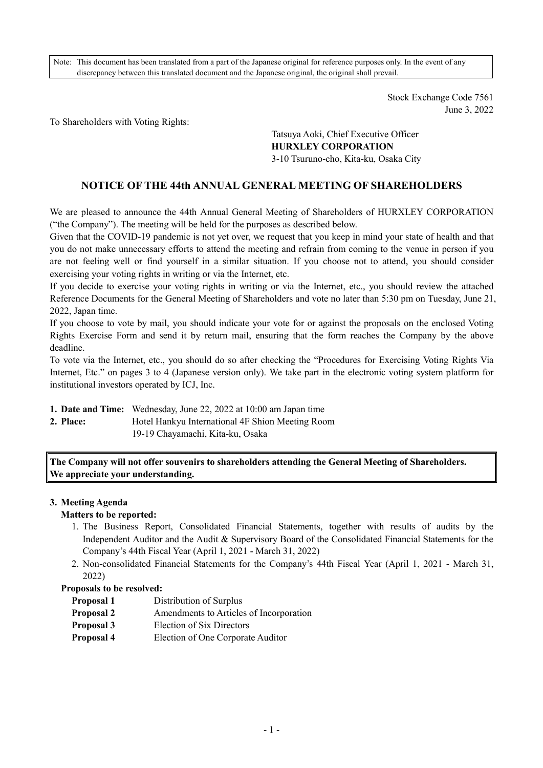Note: This document has been translated from a part of the Japanese original for reference purposes only. In the event of any discrepancy between this translated document and the Japanese original, the original shall prevail.

> Stock Exchange Code 7561 June 3, 2022

To Shareholders with Voting Rights:

Tatsuya Aoki, Chief Executive Officer **HURXLEY CORPORATION**  3-10 Tsuruno-cho, Kita-ku, Osaka City

# **NOTICE OF THE 44th ANNUAL GENERAL MEETING OF SHAREHOLDERS**

We are pleased to announce the 44th Annual General Meeting of Shareholders of HURXLEY CORPORATION ("the Company"). The meeting will be held for the purposes as described below.

Given that the COVID-19 pandemic is not yet over, we request that you keep in mind your state of health and that you do not make unnecessary efforts to attend the meeting and refrain from coming to the venue in person if you are not feeling well or find yourself in a similar situation. If you choose not to attend, you should consider exercising your voting rights in writing or via the Internet, etc.

If you decide to exercise your voting rights in writing or via the Internet, etc., you should review the attached Reference Documents for the General Meeting of Shareholders and vote no later than 5:30 pm on Tuesday, June 21, 2022, Japan time.

If you choose to vote by mail, you should indicate your vote for or against the proposals on the enclosed Voting Rights Exercise Form and send it by return mail, ensuring that the form reaches the Company by the above deadline.

To vote via the Internet, etc., you should do so after checking the "Procedures for Exercising Voting Rights Via Internet, Etc." on pages 3 to 4 (Japanese version only). We take part in the electronic voting system platform for institutional investors operated by ICJ, Inc.

**1. Date and Time:** Wednesday, June 22, 2022 at 10:00 am Japan time

**2. Place: Hotel Hankyu International 4F Shion Meeting Room** 19-19 Chayamachi, Kita-ku, Osaka

**The Company will not offer souvenirs to shareholders attending the General Meeting of Shareholders. We appreciate your understanding.** 

#### **3. Meeting Agenda**

## **Matters to be reported:**

- 1. The Business Report, Consolidated Financial Statements, together with results of audits by the Independent Auditor and the Audit & Supervisory Board of the Consolidated Financial Statements for the Company's 44th Fiscal Year (April 1, 2021 - March 31, 2022)
- 2. Non-consolidated Financial Statements for the Company's 44th Fiscal Year (April 1, 2021 March 31, 2022)

#### **Proposals to be resolved:**

- **Proposal 1** Distribution of Surplus
- **Proposal 2** Amendments to Articles of Incorporation
- **Proposal 3** Election of Six Directors
- **Proposal 4** Election of One Corporate Auditor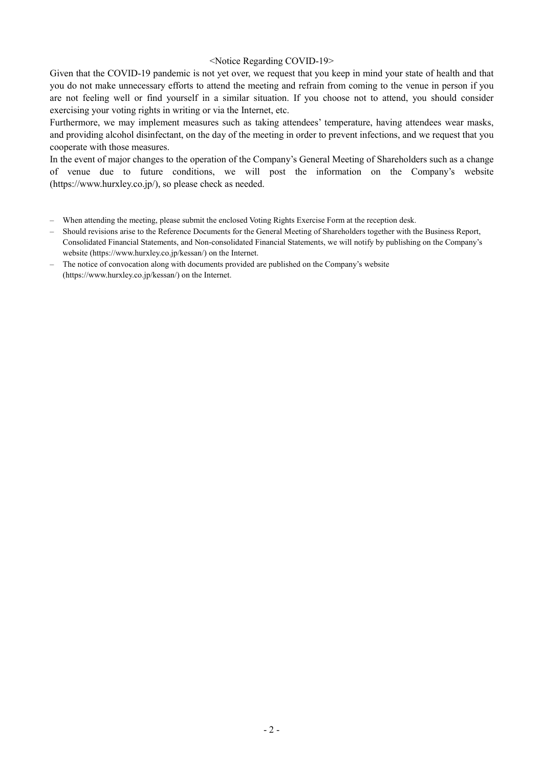#### <Notice Regarding COVID-19>

Given that the COVID-19 pandemic is not yet over, we request that you keep in mind your state of health and that you do not make unnecessary efforts to attend the meeting and refrain from coming to the venue in person if you are not feeling well or find yourself in a similar situation. If you choose not to attend, you should consider exercising your voting rights in writing or via the Internet, etc.

Furthermore, we may implement measures such as taking attendees' temperature, having attendees wear masks, and providing alcohol disinfectant, on the day of the meeting in order to prevent infections, and we request that you cooperate with those measures.

In the event of major changes to the operation of the Company's General Meeting of Shareholders such as a change of venue due to future conditions, we will post the information on the Company's website (https://www.hurxley.co.jp/), so please check as needed.

- When attending the meeting, please submit the enclosed Voting Rights Exercise Form at the reception desk.
- Should revisions arise to the Reference Documents for the General Meeting of Shareholders together with the Business Report, Consolidated Financial Statements, and Non-consolidated Financial Statements, we will notify by publishing on the Company's website (https://www.hurxley.co.jp/kessan/) on the Internet.
- The notice of convocation along with documents provided are published on the Company's website (https://www.hurxley.co.jp/kessan/) on the Internet.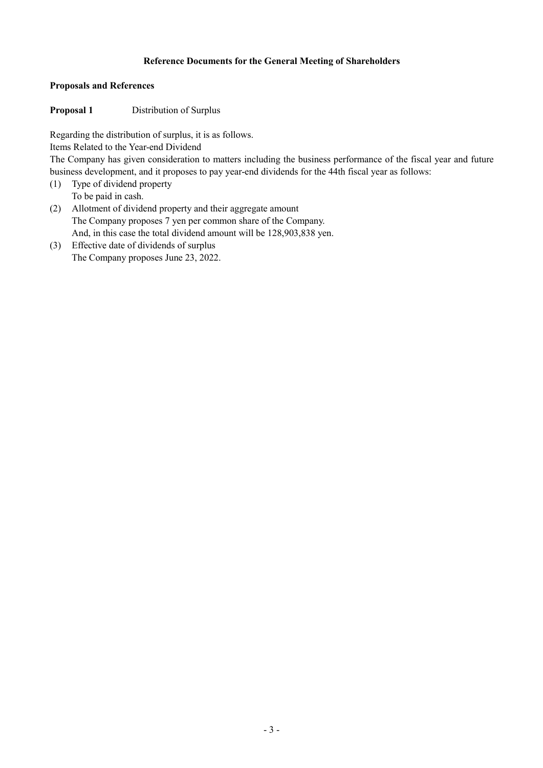## **Reference Documents for the General Meeting of Shareholders**

#### **Proposals and References**

## **Proposal 1** Distribution of Surplus

Regarding the distribution of surplus, it is as follows.

Items Related to the Year-end Dividend

The Company has given consideration to matters including the business performance of the fiscal year and future business development, and it proposes to pay year-end dividends for the 44th fiscal year as follows:

- (1) Type of dividend property To be paid in cash.
- (2) Allotment of dividend property and their aggregate amount The Company proposes 7 yen per common share of the Company. And, in this case the total dividend amount will be 128,903,838 yen.
- (3) Effective date of dividends of surplus The Company proposes June 23, 2022.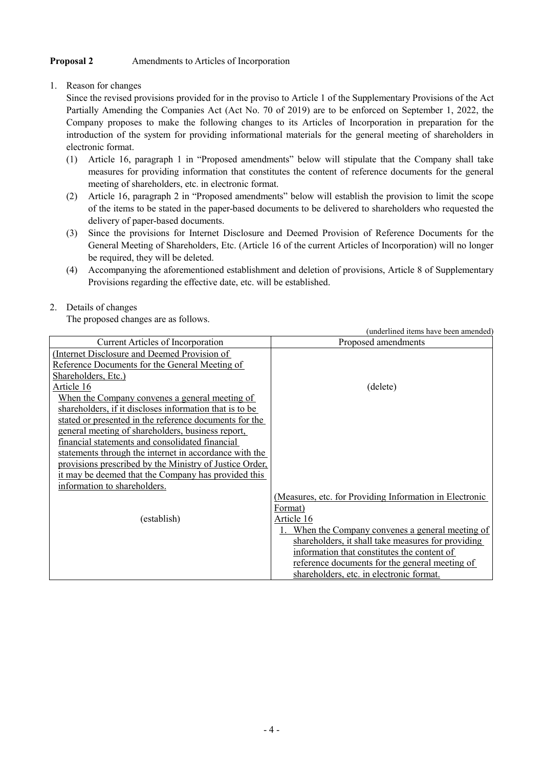# **Proposal 2** Amendments to Articles of Incorporation

1. Reason for changes

Since the revised provisions provided for in the proviso to Article 1 of the Supplementary Provisions of the Act Partially Amending the Companies Act (Act No. 70 of 2019) are to be enforced on September 1, 2022, the Company proposes to make the following changes to its Articles of Incorporation in preparation for the introduction of the system for providing informational materials for the general meeting of shareholders in electronic format.

- (1) Article 16, paragraph 1 in "Proposed amendments" below will stipulate that the Company shall take measures for providing information that constitutes the content of reference documents for the general meeting of shareholders, etc. in electronic format.
- (2) Article 16, paragraph 2 in "Proposed amendments" below will establish the provision to limit the scope of the items to be stated in the paper-based documents to be delivered to shareholders who requested the delivery of paper-based documents.
- (3) Since the provisions for Internet Disclosure and Deemed Provision of Reference Documents for the General Meeting of Shareholders, Etc. (Article 16 of the current Articles of Incorporation) will no longer be required, they will be deleted.
- (4) Accompanying the aforementioned establishment and deletion of provisions, Article 8 of Supplementary Provisions regarding the effective date, etc. will be established.

# 2. Details of changes

The proposed changes are as follows.

| The proposed changes are as follows:                    |                                                         |
|---------------------------------------------------------|---------------------------------------------------------|
|                                                         | (underlined items have been amended)                    |
| Current Articles of Incorporation                       | Proposed amendments                                     |
| (Internet Disclosure and Deemed Provision of            |                                                         |
| Reference Documents for the General Meeting of          |                                                         |
| Shareholders, Etc.)                                     |                                                         |
| Article 16                                              | (delete)                                                |
| <u>When the Company convenes a general meeting of</u>   |                                                         |
| shareholders, if it discloses information that is to be |                                                         |
| stated or presented in the reference documents for the  |                                                         |
| general meeting of shareholders, business report,       |                                                         |
| financial statements and consolidated financial         |                                                         |
| statements through the internet in accordance with the  |                                                         |
| provisions prescribed by the Ministry of Justice Order, |                                                         |
| it may be deemed that the Company has provided this     |                                                         |
| information to shareholders.                            |                                                         |
|                                                         | (Measures, etc. for Providing Information in Electronic |
|                                                         | Format)                                                 |
| (establish)                                             | Article 16                                              |
|                                                         | 1. When the Company convenes a general meeting of       |
|                                                         | shareholders, it shall take measures for providing      |
|                                                         | information that constitutes the content of             |
|                                                         | reference documents for the general meeting of          |
|                                                         | shareholders, etc. in electronic format.                |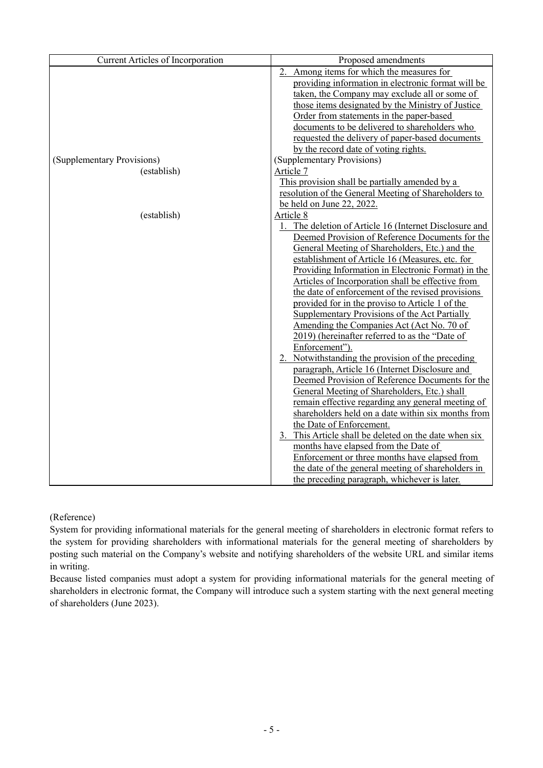| <b>Current Articles of Incorporation</b> | Proposed amendments                                    |
|------------------------------------------|--------------------------------------------------------|
|                                          | 2. Among items for which the measures for              |
|                                          | providing information in electronic format will be     |
|                                          | taken, the Company may exclude all or some of          |
|                                          | those items designated by the Ministry of Justice      |
|                                          | Order from statements in the paper-based               |
|                                          | documents to be delivered to shareholders who          |
|                                          | requested the delivery of paper-based documents        |
|                                          | by the record date of voting rights.                   |
| (Supplementary Provisions)               | (Supplementary Provisions)                             |
| (establish)                              | Article 7                                              |
|                                          | This provision shall be partially amended by a         |
|                                          | resolution of the General Meeting of Shareholders to   |
|                                          | be held on June 22, 2022.                              |
| (establish)                              | Article 8                                              |
|                                          | 1. The deletion of Article 16 (Internet Disclosure and |
|                                          | Deemed Provision of Reference Documents for the        |
|                                          | General Meeting of Shareholders, Etc.) and the         |
|                                          | establishment of Article 16 (Measures, etc. for        |
|                                          | Providing Information in Electronic Format) in the     |
|                                          | Articles of Incorporation shall be effective from      |
|                                          | the date of enforcement of the revised provisions      |
|                                          | provided for in the proviso to Article 1 of the        |
|                                          | Supplementary Provisions of the Act Partially          |
|                                          | Amending the Companies Act (Act No. 70 of              |
|                                          | 2019) (hereinafter referred to as the "Date of         |
|                                          | Enforcement").                                         |
|                                          | 2. Notwithstanding the provision of the preceding      |
|                                          | paragraph, Article 16 (Internet Disclosure and         |
|                                          | Deemed Provision of Reference Documents for the        |
|                                          | General Meeting of Shareholders, Etc.) shall           |
|                                          | remain effective regarding any general meeting of      |
|                                          | shareholders held on a date within six months from     |
|                                          | the Date of Enforcement.                               |
|                                          | 3. This Article shall be deleted on the date when six  |
|                                          | months have elapsed from the Date of                   |
|                                          | Enforcement or three months have elapsed from          |
|                                          | the date of the general meeting of shareholders in     |
|                                          | the preceding paragraph, whichever is later.           |

(Reference)

System for providing informational materials for the general meeting of shareholders in electronic format refers to the system for providing shareholders with informational materials for the general meeting of shareholders by posting such material on the Company's website and notifying shareholders of the website URL and similar items in writing.

Because listed companies must adopt a system for providing informational materials for the general meeting of shareholders in electronic format, the Company will introduce such a system starting with the next general meeting of shareholders (June 2023).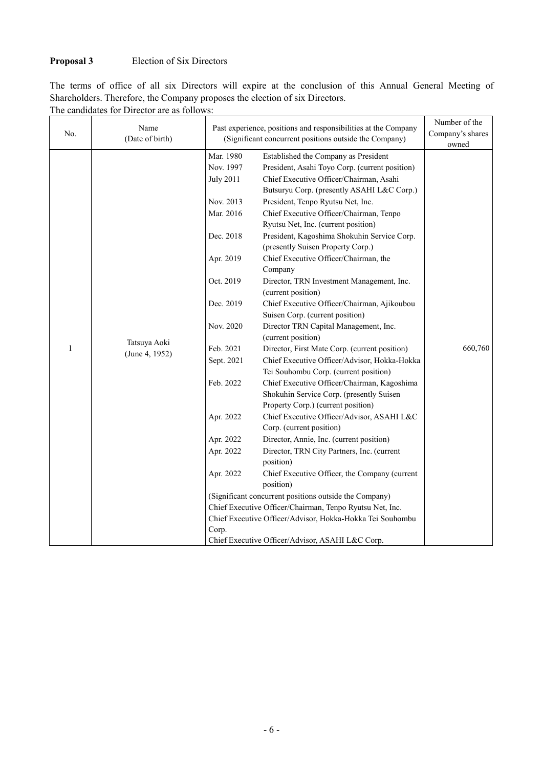# **Proposal 3** Election of Six Directors

|  |  |  |  |  |  | The terms of office of all six Directors will expire at the conclusion of this Annual General Meeting of |  |  |  |
|--|--|--|--|--|--|----------------------------------------------------------------------------------------------------------|--|--|--|
|  |  |  |  |  |  | Shareholders. Therefore, the Company proposes the election of six Directors.                             |  |  |  |

| No.          | The candidates for Director are as follows.<br>Name<br>(Date of birth) |                                                           | Past experience, positions and responsibilities at the Company<br>(Significant concurrent positions outside the Company) |         |  |
|--------------|------------------------------------------------------------------------|-----------------------------------------------------------|--------------------------------------------------------------------------------------------------------------------------|---------|--|
|              |                                                                        | Mar. 1980                                                 | Established the Company as President                                                                                     | owned   |  |
|              |                                                                        | Nov. 1997                                                 | President, Asahi Toyo Corp. (current position)                                                                           |         |  |
|              |                                                                        | <b>July 2011</b>                                          | Chief Executive Officer/Chairman, Asahi                                                                                  |         |  |
|              |                                                                        |                                                           | Butsuryu Corp. (presently ASAHI L&C Corp.)                                                                               |         |  |
|              |                                                                        | Nov. 2013                                                 | President, Tenpo Ryutsu Net, Inc.                                                                                        |         |  |
|              |                                                                        | Mar. 2016                                                 | Chief Executive Officer/Chairman, Tenpo                                                                                  |         |  |
|              |                                                                        |                                                           | Ryutsu Net, Inc. (current position)                                                                                      |         |  |
|              |                                                                        | Dec. 2018                                                 | President, Kagoshima Shokuhin Service Corp.                                                                              |         |  |
|              |                                                                        |                                                           | (presently Suisen Property Corp.)                                                                                        |         |  |
|              |                                                                        | Apr. 2019                                                 | Chief Executive Officer/Chairman, the                                                                                    |         |  |
|              |                                                                        |                                                           | Company                                                                                                                  |         |  |
|              |                                                                        | Oct. 2019                                                 | Director, TRN Investment Management, Inc.                                                                                |         |  |
|              |                                                                        |                                                           | (current position)                                                                                                       |         |  |
|              |                                                                        | Dec. 2019                                                 | Chief Executive Officer/Chairman, Ajikoubou                                                                              |         |  |
|              |                                                                        |                                                           | Suisen Corp. (current position)                                                                                          |         |  |
|              |                                                                        | Nov. 2020                                                 | Director TRN Capital Management, Inc.                                                                                    |         |  |
|              | Tatsuya Aoki                                                           |                                                           | (current position)                                                                                                       |         |  |
| $\mathbf{1}$ | (June 4, 1952)                                                         | Feb. 2021                                                 | Director, First Mate Corp. (current position)                                                                            | 660,760 |  |
|              |                                                                        | Sept. 2021                                                | Chief Executive Officer/Advisor, Hokka-Hokka                                                                             |         |  |
|              |                                                                        |                                                           | Tei Souhombu Corp. (current position)                                                                                    |         |  |
|              |                                                                        | Feb. 2022                                                 | Chief Executive Officer/Chairman, Kagoshima                                                                              |         |  |
|              |                                                                        |                                                           | Shokuhin Service Corp. (presently Suisen<br>Property Corp.) (current position)                                           |         |  |
|              |                                                                        | Apr. 2022                                                 | Chief Executive Officer/Advisor, ASAHI L&C                                                                               |         |  |
|              |                                                                        |                                                           | Corp. (current position)                                                                                                 |         |  |
|              |                                                                        | Apr. 2022                                                 | Director, Annie, Inc. (current position)                                                                                 |         |  |
|              |                                                                        | Apr. 2022                                                 | Director, TRN City Partners, Inc. (current                                                                               |         |  |
|              |                                                                        |                                                           | position)                                                                                                                |         |  |
|              |                                                                        | Apr. 2022                                                 | Chief Executive Officer, the Company (current                                                                            |         |  |
|              |                                                                        |                                                           | position)                                                                                                                |         |  |
|              |                                                                        |                                                           | (Significant concurrent positions outside the Company)                                                                   |         |  |
|              |                                                                        |                                                           | Chief Executive Officer/Chairman, Tenpo Ryutsu Net, Inc.                                                                 |         |  |
|              |                                                                        | Chief Executive Officer/Advisor, Hokka-Hokka Tei Souhombu |                                                                                                                          |         |  |
|              |                                                                        | Corp.                                                     |                                                                                                                          |         |  |
|              |                                                                        | Chief Executive Officer/Advisor, ASAHI L&C Corp.          |                                                                                                                          |         |  |

The candidates for Director are as follows: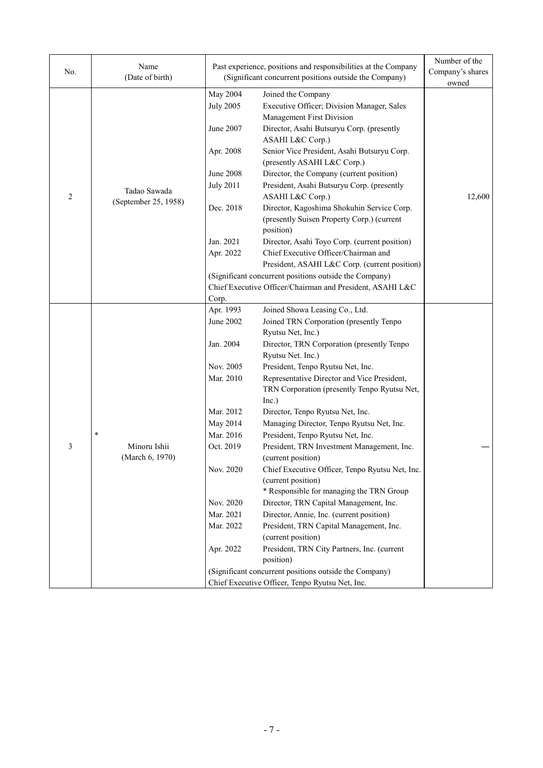| No.            | Name<br>(Date of birth)                   |                                                                                                                                                                                            | Past experience, positions and responsibilities at the Company<br>(Significant concurrent positions outside the Company)                                                                                                                                                                                                                                                                                                                                                                                                                                                                                                                                                                                                                                                                                                                                                                                                                                      | Number of the<br>Company's shares<br>owned |
|----------------|-------------------------------------------|--------------------------------------------------------------------------------------------------------------------------------------------------------------------------------------------|---------------------------------------------------------------------------------------------------------------------------------------------------------------------------------------------------------------------------------------------------------------------------------------------------------------------------------------------------------------------------------------------------------------------------------------------------------------------------------------------------------------------------------------------------------------------------------------------------------------------------------------------------------------------------------------------------------------------------------------------------------------------------------------------------------------------------------------------------------------------------------------------------------------------------------------------------------------|--------------------------------------------|
| $\overline{c}$ | Tadao Sawada<br>(September 25, 1958)      | May 2004<br><b>July 2005</b><br>June 2007<br>Apr. 2008<br><b>June 2008</b><br><b>July 2011</b><br>Dec. 2018<br>Jan. 2021<br>Apr. 2022                                                      | Joined the Company<br>Executive Officer; Division Manager, Sales<br>Management First Division<br>Director, Asahi Butsuryu Corp. (presently<br>ASAHI L&C Corp.)<br>Senior Vice President, Asahi Butsuryu Corp.<br>(presently ASAHI L&C Corp.)<br>Director, the Company (current position)<br>President, Asahi Butsuryu Corp. (presently<br>ASAHI L&C Corp.)<br>Director, Kagoshima Shokuhin Service Corp.<br>(presently Suisen Property Corp.) (current<br>position)<br>Director, Asahi Toyo Corp. (current position)<br>Chief Executive Officer/Chairman and<br>President, ASAHI L&C Corp. (current position)<br>(Significant concurrent positions outside the Company)<br>Chief Executive Officer/Chairman and President, ASAHI L&C                                                                                                                                                                                                                          | 12,600                                     |
| 3              | $\ast$<br>Minoru Ishii<br>(March 6, 1970) | Corp.<br>Apr. 1993<br>June 2002<br>Jan. 2004<br>Nov. 2005<br>Mar. 2010<br>Mar. 2012<br>May 2014<br>Mar. 2016<br>Oct. 2019<br>Nov. 2020<br>Nov. 2020<br>Mar. 2021<br>Mar. 2022<br>Apr. 2022 | Joined Showa Leasing Co., Ltd.<br>Joined TRN Corporation (presently Tenpo<br>Ryutsu Net, Inc.)<br>Director, TRN Corporation (presently Tenpo<br>Ryutsu Net. Inc.)<br>President, Tenpo Ryutsu Net, Inc.<br>Representative Director and Vice President,<br>TRN Corporation (presently Tenpo Ryutsu Net,<br>Inc.)<br>Director, Tenpo Ryutsu Net, Inc.<br>Managing Director, Tenpo Ryutsu Net, Inc.<br>President, Tenpo Ryutsu Net, Inc.<br>President, TRN Investment Management, Inc.<br>(current position)<br>Chief Executive Officer, Tenpo Ryutsu Net, Inc.<br>(current position)<br>* Responsible for managing the TRN Group<br>Director, TRN Capital Management, Inc.<br>Director, Annie, Inc. (current position)<br>President, TRN Capital Management, Inc.<br>(current position)<br>President, TRN City Partners, Inc. (current<br>position)<br>(Significant concurrent positions outside the Company)<br>Chief Executive Officer, Tenpo Ryutsu Net, Inc. |                                            |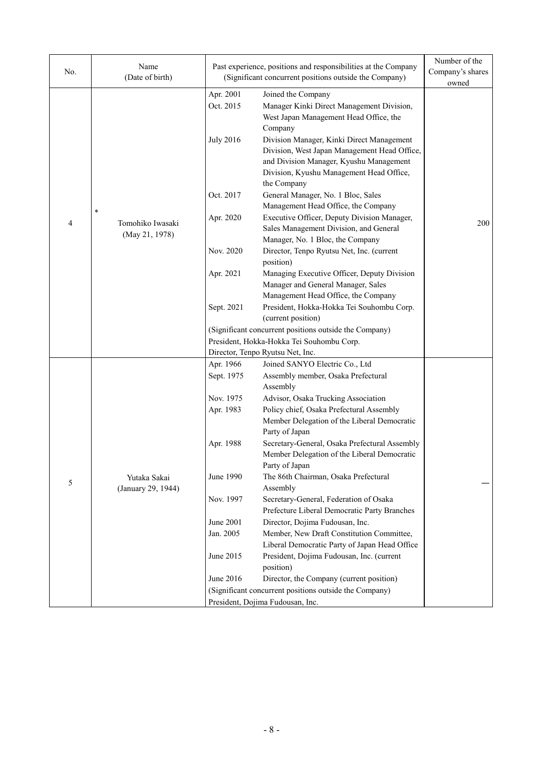| No. | Name<br>(Date of birth)            |                        | Past experience, positions and responsibilities at the Company<br>(Significant concurrent positions outside the Company)                                                                        | Number of the<br>Company's shares |
|-----|------------------------------------|------------------------|-------------------------------------------------------------------------------------------------------------------------------------------------------------------------------------------------|-----------------------------------|
|     |                                    |                        |                                                                                                                                                                                                 | owned                             |
|     |                                    | Apr. 2001<br>Oct. 2015 | Joined the Company<br>Manager Kinki Direct Management Division,<br>West Japan Management Head Office, the<br>Company                                                                            |                                   |
|     |                                    | <b>July 2016</b>       | Division Manager, Kinki Direct Management<br>Division, West Japan Management Head Office,<br>and Division Manager, Kyushu Management<br>Division, Kyushu Management Head Office,<br>the Company |                                   |
|     | $\ast$                             | Oct. 2017              | General Manager, No. 1 Bloc, Sales<br>Management Head Office, the Company                                                                                                                       |                                   |
| 4   | Tomohiko Iwasaki<br>(May 21, 1978) | Apr. 2020              | Executive Officer, Deputy Division Manager,<br>Sales Management Division, and General<br>Manager, No. 1 Bloc, the Company                                                                       | 200                               |
|     |                                    | Nov. 2020              | Director, Tenpo Ryutsu Net, Inc. (current<br>position)                                                                                                                                          |                                   |
|     |                                    | Apr. 2021              | Managing Executive Officer, Deputy Division<br>Manager and General Manager, Sales<br>Management Head Office, the Company                                                                        |                                   |
|     |                                    | Sept. 2021             | President, Hokka-Hokka Tei Souhombu Corp.                                                                                                                                                       |                                   |
|     |                                    |                        | (current position)                                                                                                                                                                              |                                   |
|     |                                    |                        | (Significant concurrent positions outside the Company)                                                                                                                                          |                                   |
|     |                                    |                        | President, Hokka-Hokka Tei Souhombu Corp.                                                                                                                                                       |                                   |
|     |                                    |                        | Director, Tenpo Ryutsu Net, Inc.                                                                                                                                                                |                                   |
|     |                                    | Apr. 1966              | Joined SANYO Electric Co., Ltd                                                                                                                                                                  |                                   |
|     |                                    | Sept. 1975             | Assembly member, Osaka Prefectural<br>Assembly                                                                                                                                                  |                                   |
|     |                                    | Nov. 1975              | Advisor, Osaka Trucking Association                                                                                                                                                             |                                   |
|     |                                    | Apr. 1983              | Policy chief, Osaka Prefectural Assembly<br>Member Delegation of the Liberal Democratic<br>Party of Japan                                                                                       |                                   |
|     |                                    | Apr. 1988              | Secretary-General, Osaka Prefectural Assembly<br>Member Delegation of the Liberal Democratic<br>Party of Japan                                                                                  |                                   |
| 5   | Yutaka Sakai<br>(January 29, 1944) | June 1990              | The 86th Chairman, Osaka Prefectural<br>Assembly                                                                                                                                                |                                   |
|     |                                    | Nov. 1997              | Secretary-General, Federation of Osaka<br>Prefecture Liberal Democratic Party Branches                                                                                                          |                                   |
|     |                                    | June 2001              | Director, Dojima Fudousan, Inc.                                                                                                                                                                 |                                   |
|     |                                    | Jan. 2005              | Member, New Draft Constitution Committee,                                                                                                                                                       |                                   |
|     |                                    |                        | Liberal Democratic Party of Japan Head Office                                                                                                                                                   |                                   |
|     |                                    | June 2015              | President, Dojima Fudousan, Inc. (current                                                                                                                                                       |                                   |
|     |                                    |                        | position)                                                                                                                                                                                       |                                   |
|     |                                    | June 2016              | Director, the Company (current position)                                                                                                                                                        |                                   |
|     |                                    |                        | (Significant concurrent positions outside the Company)                                                                                                                                          |                                   |
|     |                                    |                        | President, Dojima Fudousan, Inc.                                                                                                                                                                |                                   |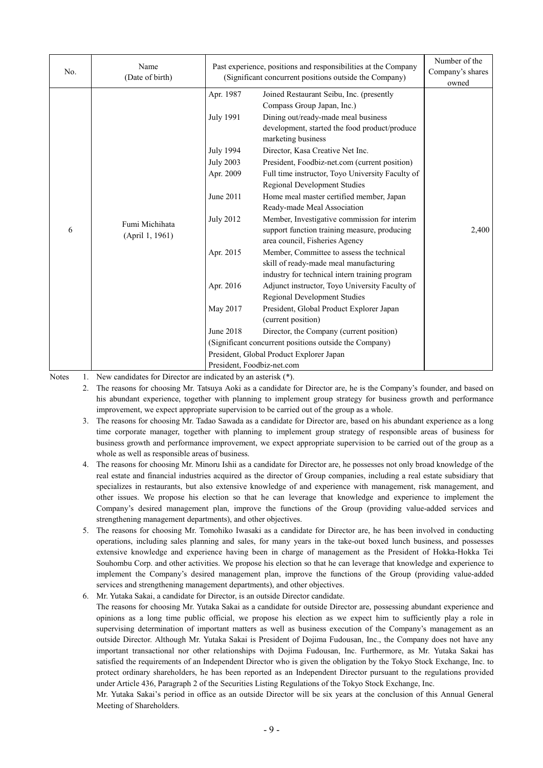| No. | Name<br>(Date of birth)           |                                                                                                                                                                 | Past experience, positions and responsibilities at the Company<br>(Significant concurrent positions outside the Company)                                                                                                                                                                                                                                                                                                                                                                                                                                                                                                                                                                                                                                                                                                                                                                                                                                                                                                         |                |  |
|-----|-----------------------------------|-----------------------------------------------------------------------------------------------------------------------------------------------------------------|----------------------------------------------------------------------------------------------------------------------------------------------------------------------------------------------------------------------------------------------------------------------------------------------------------------------------------------------------------------------------------------------------------------------------------------------------------------------------------------------------------------------------------------------------------------------------------------------------------------------------------------------------------------------------------------------------------------------------------------------------------------------------------------------------------------------------------------------------------------------------------------------------------------------------------------------------------------------------------------------------------------------------------|----------------|--|
| 6   | Fumi Michihata<br>(April 1, 1961) | Apr. 1987<br><b>July 1991</b><br>July 1994<br><b>July 2003</b><br>Apr. 2009<br>June 2011<br><b>July 2012</b><br>Apr. 2015<br>Apr. 2016<br>May 2017<br>June 2018 | Joined Restaurant Seibu, Inc. (presently<br>Compass Group Japan, Inc.)<br>Dining out/ready-made meal business<br>development, started the food product/produce<br>marketing business<br>Director, Kasa Creative Net Inc.<br>President, Foodbiz-net.com (current position)<br>Full time instructor, Toyo University Faculty of<br><b>Regional Development Studies</b><br>Home meal master certified member, Japan<br>Ready-made Meal Association<br>Member, Investigative commission for interim<br>support function training measure, producing<br>area council, Fisheries Agency<br>Member, Committee to assess the technical<br>skill of ready-made meal manufacturing<br>industry for technical intern training program<br>Adjunct instructor, Toyo University Faculty of<br>Regional Development Studies<br>President, Global Product Explorer Japan<br>(current position)<br>Director, the Company (current position)<br>(Significant concurrent positions outside the Company)<br>President, Global Product Explorer Japan | owned<br>2,400 |  |
|     |                                   | President, Foodbiz-net.com                                                                                                                                      |                                                                                                                                                                                                                                                                                                                                                                                                                                                                                                                                                                                                                                                                                                                                                                                                                                                                                                                                                                                                                                  |                |  |

Notes 1. New candidates for Director are indicated by an asterisk (\*).

2. The reasons for choosing Mr. Tatsuya Aoki as a candidate for Director are, he is the Company's founder, and based on his abundant experience, together with planning to implement group strategy for business growth and performance improvement, we expect appropriate supervision to be carried out of the group as a whole.

- 3. The reasons for choosing Mr. Tadao Sawada as a candidate for Director are, based on his abundant experience as a long time corporate manager, together with planning to implement group strategy of responsible areas of business for business growth and performance improvement, we expect appropriate supervision to be carried out of the group as a whole as well as responsible areas of business.
- 4. The reasons for choosing Mr. Minoru Ishii as a candidate for Director are, he possesses not only broad knowledge of the real estate and financial industries acquired as the director of Group companies, including a real estate subsidiary that specializes in restaurants, but also extensive knowledge of and experience with management, risk management, and other issues. We propose his election so that he can leverage that knowledge and experience to implement the Company's desired management plan, improve the functions of the Group (providing value-added services and strengthening management departments), and other objectives.
- 5. The reasons for choosing Mr. Tomohiko Iwasaki as a candidate for Director are, he has been involved in conducting operations, including sales planning and sales, for many years in the take-out boxed lunch business, and possesses extensive knowledge and experience having been in charge of management as the President of Hokka-Hokka Tei Souhombu Corp. and other activities. We propose his election so that he can leverage that knowledge and experience to implement the Company's desired management plan, improve the functions of the Group (providing value-added services and strengthening management departments), and other objectives.
- 6. Mr. Yutaka Sakai, a candidate for Director, is an outside Director candidate.

The reasons for choosing Mr. Yutaka Sakai as a candidate for outside Director are, possessing abundant experience and opinions as a long time public official, we propose his election as we expect him to sufficiently play a role in supervising determination of important matters as well as business execution of the Company's management as an outside Director. Although Mr. Yutaka Sakai is President of Dojima Fudousan, Inc., the Company does not have any important transactional nor other relationships with Dojima Fudousan, Inc. Furthermore, as Mr. Yutaka Sakai has satisfied the requirements of an Independent Director who is given the obligation by the Tokyo Stock Exchange, Inc. to protect ordinary shareholders, he has been reported as an Independent Director pursuant to the regulations provided under Article 436, Paragraph 2 of the Securities Listing Regulations of the Tokyo Stock Exchange, Inc.

Mr. Yutaka Sakai's period in office as an outside Director will be six years at the conclusion of this Annual General Meeting of Shareholders.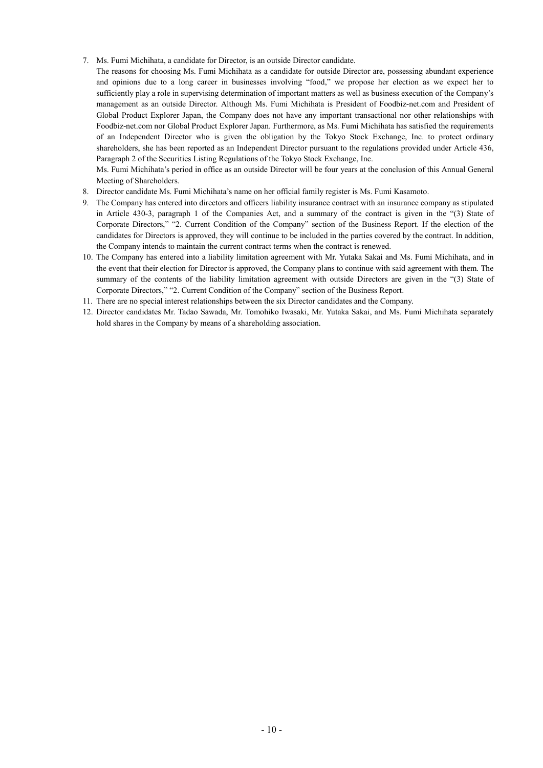7. Ms. Fumi Michihata, a candidate for Director, is an outside Director candidate.

The reasons for choosing Ms. Fumi Michihata as a candidate for outside Director are, possessing abundant experience and opinions due to a long career in businesses involving "food," we propose her election as we expect her to sufficiently play a role in supervising determination of important matters as well as business execution of the Company's management as an outside Director. Although Ms. Fumi Michihata is President of Foodbiz-net.com and President of Global Product Explorer Japan, the Company does not have any important transactional nor other relationships with Foodbiz-net.com nor Global Product Explorer Japan. Furthermore, as Ms. Fumi Michihata has satisfied the requirements of an Independent Director who is given the obligation by the Tokyo Stock Exchange, Inc. to protect ordinary shareholders, she has been reported as an Independent Director pursuant to the regulations provided under Article 436, Paragraph 2 of the Securities Listing Regulations of the Tokyo Stock Exchange, Inc.

Ms. Fumi Michihata's period in office as an outside Director will be four years at the conclusion of this Annual General Meeting of Shareholders.

- 8. Director candidate Ms. Fumi Michihata's name on her official family register is Ms. Fumi Kasamoto.
- 9. The Company has entered into directors and officers liability insurance contract with an insurance company as stipulated in Article 430-3, paragraph 1 of the Companies Act, and a summary of the contract is given in the "(3) State of Corporate Directors," "2. Current Condition of the Company" section of the Business Report. If the election of the candidates for Directors is approved, they will continue to be included in the parties covered by the contract. In addition, the Company intends to maintain the current contract terms when the contract is renewed.
- 10. The Company has entered into a liability limitation agreement with Mr. Yutaka Sakai and Ms. Fumi Michihata, and in the event that their election for Director is approved, the Company plans to continue with said agreement with them. The summary of the contents of the liability limitation agreement with outside Directors are given in the "(3) State of Corporate Directors," "2. Current Condition of the Company" section of the Business Report.
- 11. There are no special interest relationships between the six Director candidates and the Company.
- 12. Director candidates Mr. Tadao Sawada, Mr. Tomohiko Iwasaki, Mr. Yutaka Sakai, and Ms. Fumi Michihata separately hold shares in the Company by means of a shareholding association.